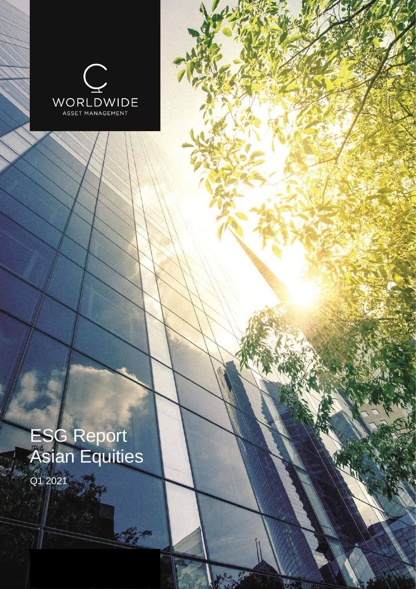

# ESG Report Asian Equities

C. C.

Q1 2021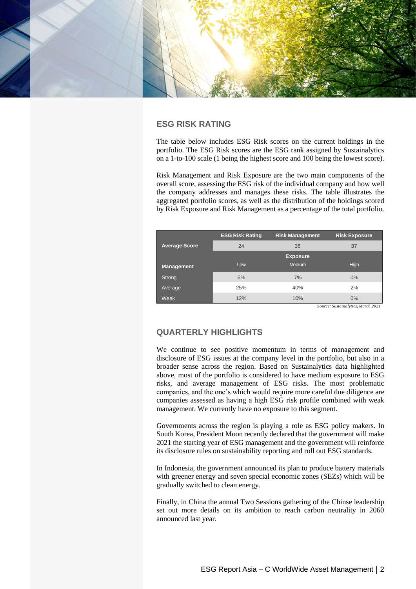

# **ESG RISK RATING**

The table below includes ESG Risk scores on the current holdings in the portfolio. The ESG Risk scores are the ESG rank assigned by Sustainalytics on a 1-to-100 scale (1 being the highest score and 100 being the lowest score).

Risk Management and Risk Exposure are the two main components of the overall score, assessing the ESG risk of the individual company and how well the company addresses and manages these risks. The table illustrates the aggregated portfolio scores, as well as the distribution of the holdings scored by Risk Exposure and Risk Management as a percentage of the total portfolio.

|                      | <b>ESG Risk Rating</b> | <b>Risk Management</b> | <b>Risk Exposure</b> |  |  |
|----------------------|------------------------|------------------------|----------------------|--|--|
| <b>Average Score</b> | 24                     | 35                     | 37                   |  |  |
|                      |                        | <b>Exposure</b>        |                      |  |  |
| <b>Management</b>    | Low                    | <b>Medium</b>          | High                 |  |  |
| Strong               | 5%                     | 7%                     | $0\%$                |  |  |
| Average              | 25%                    | 40%                    | 2%                   |  |  |
| <b>Weak</b>          | 12%                    | 10%                    | $0\%$                |  |  |

*Source: Sustainalytics, March 2021*

## **QUARTERLY HIGHLIGHTS**

We continue to see positive momentum in terms of management and disclosure of ESG issues at the company level in the portfolio, but also in a broader sense across the region. Based on Sustainalytics data highlighted above, most of the portfolio is considered to have medium exposure to ESG risks, and average management of ESG risks. The most problematic companies, and the one's which would require more careful due diligence are companies assessed as having a high ESG risk profile combined with weak management. We currently have no exposure to this segment.

Governments across the region is playing a role as ESG policy makers. In South Korea, President Moon recently declared that the government will make 2021 the starting year of ESG management and the government will reinforce its disclosure rules on sustainability reporting and roll out ESG standards.

In Indonesia, the government announced its plan to produce battery materials with greener energy and seven special economic zones (SEZs) which will be gradually switched to clean energy.

Finally, in China the annual Two Sessions gathering of the Chinse leadership set out more details on its ambition to reach carbon neutrality in 2060 announced last year.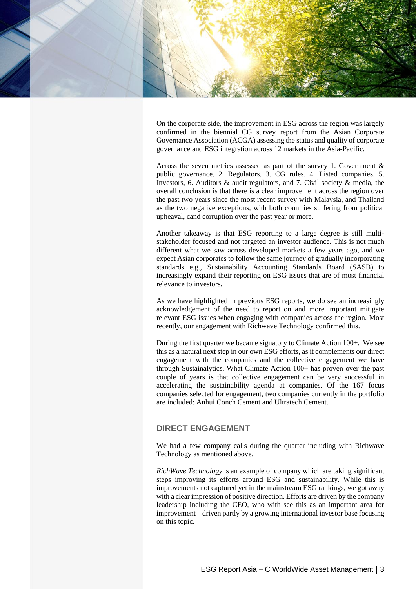

On the corporate side, the improvement in ESG across the region was largely confirmed in the biennial CG survey report from the Asian Corporate Governance Association (ACGA) assessing the status and quality of corporate governance and ESG integration across 12 markets in the Asia-Pacific.

Across the seven metrics assessed as part of the survey 1. Government  $\&$ public governance, 2. Regulators, 3. CG rules, 4. Listed companies, 5. Investors, 6. Auditors & audit regulators, and 7. Civil society & media, the overall conclusion is that there is a clear improvement across the region over the past two years since the most recent survey with Malaysia, and Thailand as the two negative exceptions, with both countries suffering from political upheaval, cand corruption over the past year or more.

Another takeaway is that ESG reporting to a large degree is still multistakeholder focused and not targeted an investor audience. This is not much different what we saw across developed markets a few years ago, and we expect Asian corporates to follow the same journey of gradually incorporating standards e.g., Sustainability Accounting Standards Board (SASB) to increasingly expand their reporting on ESG issues that are of most financial relevance to investors.

As we have highlighted in previous ESG reports, we do see an increasingly acknowledgement of the need to report on and more important mitigate relevant ESG issues when engaging with companies across the region. Most recently, our engagement with Richwave Technology confirmed this.

During the first quarter we became signatory to Climate Action 100+. We see this as a natural next step in our own ESG efforts, as it complements our direct engagement with the companies and the collective engagement we have through Sustainalytics. What Climate Action 100+ has proven over the past couple of years is that collective engagement can be very successful in accelerating the sustainability agenda at companies. Of the 167 focus companies selected for engagement, two companies currently in the portfolio are included: Anhui Conch Cement and Ultratech Cement.

# **DIRECT ENGAGEMENT**

We had a few company calls during the quarter including with Richwave Technology as mentioned above.

*RichWave Technology* is an example of company which are taking significant steps improving its efforts around ESG and sustainability. While this is improvements not captured yet in the mainstream ESG rankings, we got away with a clear impression of positive direction. Efforts are driven by the company leadership including the CEO, who with see this as an important area for improvement – driven partly by a growing international investor base focusing on this topic.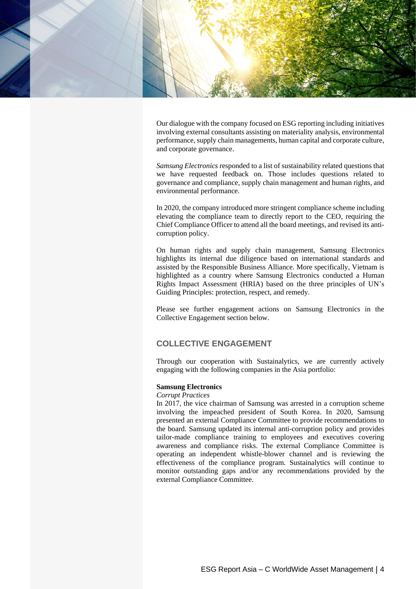

Our dialogue with the company focused on ESG reporting including initiatives involving external consultants assisting on materiality analysis, environmental performance, supply chain managements, human capital and corporate culture, and corporate governance.

*Samsung Electronics* responded to a list of sustainability related questions that we have requested feedback on. Those includes questions related to governance and compliance, supply chain management and human rights, and environmental performance.

In 2020, the company introduced more stringent compliance scheme including elevating the compliance team to directly report to the CEO, requiring the Chief Compliance Officer to attend all the board meetings, and revised its anticorruption policy.

On human rights and supply chain management, Samsung Electronics highlights its internal due diligence based on international standards and assisted by the Responsible Business Alliance. More specifically, Vietnam is highlighted as a country where Samsung Electronics conducted a Human Rights Impact Assessment (HRIA) based on the three principles of UN's Guiding Principles: protection, respect, and remedy.

Please see further engagement actions on Samsung Electronics in the Collective Engagement section below.

# **COLLECTIVE ENGAGEMENT**

Through our cooperation with Sustainalytics, we are currently actively engaging with the following companies in the Asia portfolio:

## **Samsung Electronics**

## *Corrupt Practices*

In 2017, the vice chairman of Samsung was arrested in a corruption scheme involving the impeached president of South Korea. In 2020, Samsung presented an external Compliance Committee to provide recommendations to the board. Samsung updated its internal anti-corruption policy and provides tailor-made compliance training to employees and executives covering awareness and compliance risks. The external Compliance Committee is operating an independent whistle-blower channel and is reviewing the effectiveness of the compliance program. Sustainalytics will continue to monitor outstanding gaps and/or any recommendations provided by the external Compliance Committee.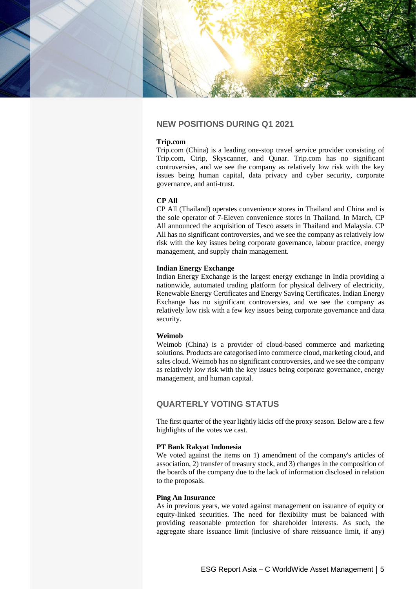

# **NEW POSITIONS DURING Q1 2021**

#### **Trip.com**

Trip.com (China) is a leading one-stop travel service provider consisting of Trip.com, Ctrip, Skyscanner, and Qunar. Trip.com has no significant controversies, and we see the company as relatively low risk with the key issues being human capital, data privacy and cyber security, corporate governance, and anti-trust.

## **CP All**

CP All (Thailand) operates convenience stores in Thailand and China and is the sole operator of 7-Eleven convenience stores in Thailand. In March, CP All announced the acquisition of Tesco assets in Thailand and Malaysia. CP All has no significant controversies, and we see the company as relatively low risk with the key issues being corporate governance, labour practice, energy management, and supply chain management.

#### **Indian Energy Exchange**

Indian Energy Exchange is the largest energy exchange in India providing a nationwide, automated trading platform for physical delivery of electricity, Renewable Energy Certificates and Energy Saving Certificates. Indian Energy Exchange has no significant controversies, and we see the company as relatively low risk with a few key issues being corporate governance and data security.

#### **Weimob**

Weimob (China) is a provider of cloud-based commerce and marketing solutions. Products are categorised into commerce cloud, marketing cloud, and sales cloud. Weimob has no significant controversies, and we see the company as relatively low risk with the key issues being corporate governance, energy management, and human capital.

# **QUARTERLY VOTING STATUS**

The first quarter of the year lightly kicks off the proxy season. Below are a few highlights of the votes we cast.

#### **PT Bank Rakyat Indonesia**

We voted against the items on 1) amendment of the company's articles of association, 2) transfer of treasury stock, and 3) changes in the composition of the boards of the company due to the lack of information disclosed in relation to the proposals.

#### **Ping An Insurance**

As in previous years, we voted against management on issuance of equity or equity-linked securities. The need for flexibility must be balanced with providing reasonable protection for shareholder interests. As such, the aggregate share issuance limit (inclusive of share reissuance limit, if any)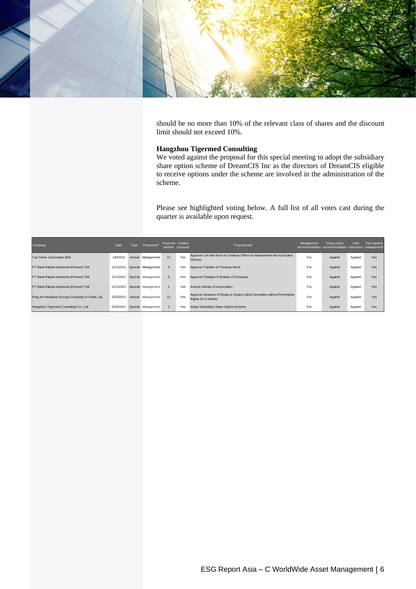

should be no more than 10% of the relevant class of shares and the discount limit should not exceed 10%.

## **Hangzhou Tigermed Consulting**

We voted against the proposal for this special meeting to adopt the subsidiary share option scheme of DreamCIS Inc as the directors of DreamCIS eligible to receive options under the scheme are involved in the administration of the scheme.

Please see highlighted voting below. A full list of all votes cast during the quarter is available upon request.

| Company                                          | Date      | Tvpe | Proponent*         | Proposal Votable | number proposal | Proposal text                                                                                           | Management<br>recommendation recommendation instruction management | Voting policy | Vote    | Vote against |
|--------------------------------------------------|-----------|------|--------------------|------------------|-----------------|---------------------------------------------------------------------------------------------------------|--------------------------------------------------------------------|---------------|---------|--------------|
| <b>Top Glove Corporation Bhd</b>                 | 1/6/2021  |      | Annual Management  | 11               | Yes             | Approve Lim Han Boon to Continue Office as Independent Non-Executive<br><b>Director</b>                 | For                                                                | Against       | Against | Yes          |
| PT Bank Rakyat Indonesia (Persero) Tbk           | 1/21/2021 |      | Special Management | $\overline{4}$   | Yes             | Approve Transfer of Treasury Stock                                                                      | For                                                                | Against       | Against | Yes          |
| PT Bank Rakyat Indonesia (Persero) Tbk           | 1/21/2021 |      | Special Management | $5^{\circ}$      | Yes             | Approve Changes in Boards of Company                                                                    | For                                                                | Against       | Against | Yes          |
| PT Bank Rakyat Indonesia (Persero) Tbk           | 1/21/2021 |      | Special Management |                  | Yes             | Amend Articles of Association                                                                           | For                                                                | Against       | Against | Yes          |
| Ping An Insurance (Group) Company of China, Ltd. | 3/25/2021 |      | Annual Management  | 11               | Yes             | Approve Issuance of Equity or Equity-Linked Securities without Preemptive<br><b>Rights for H Shares</b> | For                                                                | Against       | Against | Yes          |
| Hangzhou Tigermed Consulting Co., Ltd.           | 3/26/2021 |      | Special Management |                  | Yes             | Adopt Subsidiary Share Option Scheme                                                                    | For                                                                | Against       | Against | Yes          |